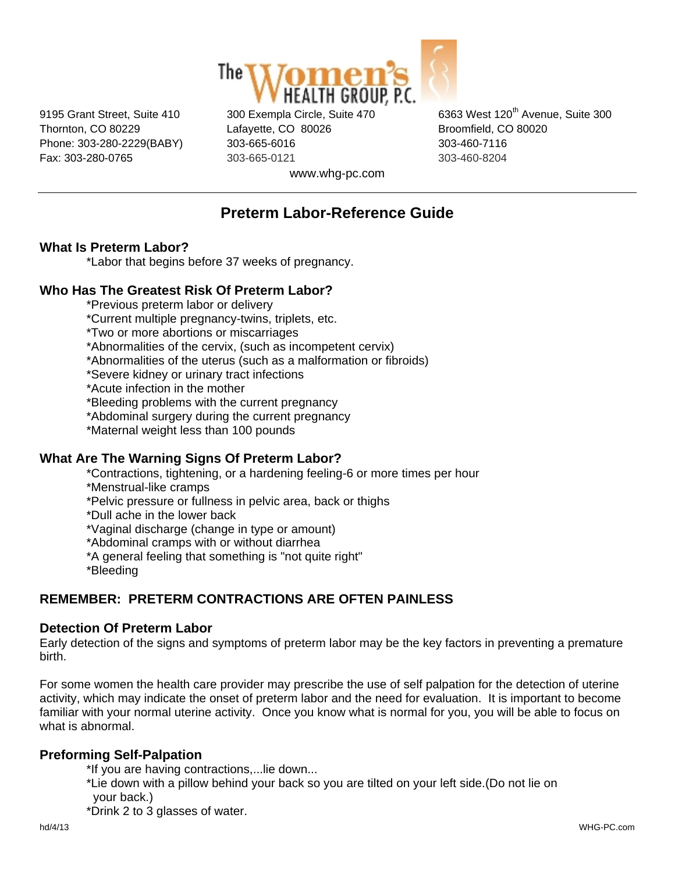

Thornton, CO 80229 Lafayette, CO 80026 Broomfield, CO 80020 Phone: 303-280-2229(BABY) 303-665-6016 303-460-7116 Fax: 303-280-0765 303-665-0121 303-460-8204

9195 Grant Street, Suite 410 300 Exempla Circle, Suite 470 6363 West 120<sup>th</sup> Avenue, Suite 300

www.whg-pc.com

# **Preterm Labor-Reference Guide**

# **What Is Preterm Labor?**

\*Labor that begins before 37 weeks of pregnancy.

### **Who Has The Greatest Risk Of Preterm Labor?**

\*Previous preterm labor or delivery

\*Current multiple pregnancy-twins, triplets, etc.

\*Two or more abortions or miscarriages

\*Abnormalities of the cervix, (such as incompetent cervix)

\*Abnormalities of the uterus (such as a malformation or fibroids)

\*Severe kidney or urinary tract infections

\*Acute infection in the mother

\*Bleeding problems with the current pregnancy

\*Abdominal surgery during the current pregnancy

\*Maternal weight less than 100 pounds

# **What Are The Warning Signs Of Preterm Labor?**

\*Contractions, tightening, or a hardening feeling-6 or more times per hour

\*Menstrual-like cramps

\*Pelvic pressure or fullness in pelvic area, back or thighs

\*Dull ache in the lower back

\*Vaginal discharge (change in type or amount)

\*Abdominal cramps with or without diarrhea

\*A general feeling that something is "not quite right"

\*Bleeding

# **REMEMBER: PRETERM CONTRACTIONS ARE OFTEN PAINLESS**

#### **Detection Of Preterm Labor**

Early detection of the signs and symptoms of preterm labor may be the key factors in preventing a premature birth.

For some women the health care provider may prescribe the use of self palpation for the detection of uterine activity, which may indicate the onset of preterm labor and the need for evaluation. It is important to become familiar with your normal uterine activity. Once you know what is normal for you, you will be able to focus on what is abnormal.

#### **Preforming Self-Palpation**

\*If you are having contractions,...lie down...

 \*Lie down with a pillow behind your back so you are tilted on your left side.(Do not lie on your back.)

\*Drink 2 to 3 glasses of water.